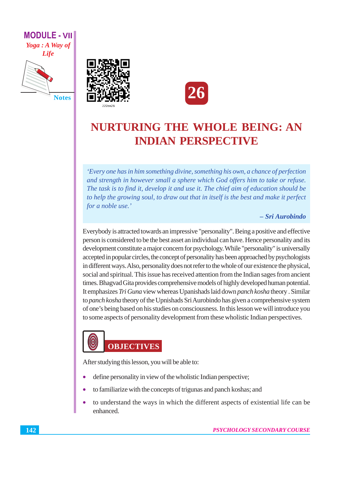## **MODULE - VII** Yoga: A Way of **Life**





## **NURTURING THE WHOLE BEING: AN INDIAN PERSPECTIVE**

'Every one has in him something divine, something his own, a chance of perfection and strength in however small a sphere which God offers him to take or refuse. The task is to find it, develop it and use it. The chief aim of education should be to help the growing soul, to draw out that in itself is the best and make it perfect for a noble use.'

- Sri Aurobindo

Everybody is attracted towards an impressive "personality". Being a positive and effective person is considered to be the best asset an individual can have. Hence personality and its development constitute a major concern for psychology. While "personality" is universally accepted in popular circles, the concept of personality has been approached by psychologists in different ways. Also, personality does not refer to the whole of our existence the physical, social and spiritual. This issue has received attention from the Indian sages from ancient times. Bhagvad Gita provides comprehensive models of highly developed human potential. It emphasizes Tri Guna view whereas Upanishads laid down panch kosha theory. Similar to panch kosha theory of the Upnishads Sri Aurobindo has given a comprehensive system of one's being based on his studies on consciousness. In this lesson we will introduce you to some aspects of personality development from these wholistic Indian perspectives.



After studying this lesson, you will be able to:

- define personality in view of the wholistic Indian perspective;
- to familiarize with the concepts of trigunas and panch koshas; and
- to understand the ways in which the different aspects of existential life can be enhanced.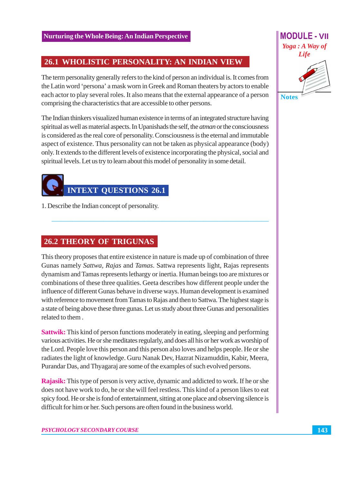## 26.1 WHOLISTIC PERSONALITY: AN INDIAN VIEW

The term personality generally refers to the kind of person an individual is. It comes from the Latin word 'persona' a mask worn in Greek and Roman theaters by actors to enable each actor to play several roles. It also means that the external appearance of a person comprising the characteristics that are accessible to other persons.

The Indian thinkers visualized human existence in terms of an integrated structure having spiritual as well as material aspects. In Upanishads the self, the *atman* or the consciousness is considered as the real core of personality. Consciousness is the eternal and immutable aspect of existence. Thus personality can not be taken as physical appearance (body) only. It extends to the different levels of existence incorporating the physical, social and spiritual levels. Let us try to learn about this model of personality in some detail.



1. Describe the Indian concept of personality.

## **26.2 THEORY OF TRIGUNAS**

This theory proposes that entire existence in nature is made up of combination of three Gunas namely Sattwa, Rajas and Tamas. Sattwa represents light, Rajas represents dynamism and Tamas represents lethargy or inertia. Human beings too are mixtures or combinations of these three qualities. Geeta describes how different people under the influence of different Gunas behave in diverse ways. Human development is examined with reference to movement from Tamas to Rajas and then to Sattwa. The highest stage is a state of being above these three gunas. Let us study about three Gunas and personalities related to them.

**Sattwik:** This kind of person functions moderately in eating, sleeping and performing various activities. He or she meditates regularly, and does all his or her work as worship of the Lord. People love this person and this person also loves and helps people. He or she radiates the light of knowledge. Guru Nanak Dev, Hazrat Nizamuddin, Kabir, Meera, Purandar Das, and Thyagaraj are some of the examples of such evolved persons.

**Rajasik:** This type of person is very active, dynamic and addicted to work. If he or she does not have work to do, he or she will feel restless. This kind of a person likes to eat spicy food. He or she is fond of entertainment, sitting at one place and observing silence is difficult for him or her. Such persons are often found in the business world.

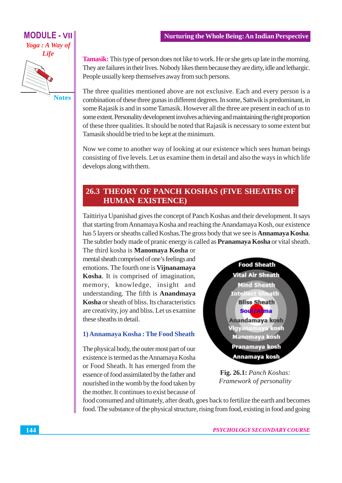# **MODULE - VII** Yoga: A Way of **Life**

**Notes** 

Tamasik: This type of person does not like to work. He or she gets up late in the morning. They are failures in their lives. Nobody likes them because they are dirty, idle and lethargic. People usually keep themselves away from such persons.

The three qualities mentioned above are not exclusive. Each and every person is a combination of these three gunas in different degrees. In some, Sattwik is predominant, in some Rajasik is and in some Tamasik. However all the three are present in each of us to some extent. Personality development involves achieving and maintaining the right proportion of these three qualities. It should be noted that Raiasik is necessary to some extent but Tamasik should be tried to be kept at the minimum.

Now we come to another way of looking at our existence which sees human beings consisting of five levels. Let us examine them in detail and also the ways in which life develops along with them.

## **26.3 THEORY OF PANCH KOSHAS (FIVE SHEATHS OF HUMAN EXISTENCE)**

Taittiriya Upanishad gives the concept of Panch Koshas and their development. It says that starting from Annamaya Kosha and reaching the Anandamaya Kosh, our existence has 5 layers or sheaths called Koshas. The gross body that we see is **Annamaya Kosha**. The subtler body made of pranic energy is called as **Pranamaya Kosha** or vital sheath.

The third kosha is Manomava Kosha or mental sheath comprised of one's feelings and emotions. The fourth one is Vijnanamaya Kosha. It is comprised of imagination, memory, knowledge, insight and understanding. The fifth is **Anandmaya** Kosha or sheath of bliss. Its characteristics are creativity, joy and bliss. Let us examine these sheaths in detail.

### 1) Annamaya Kosha: The Food Sheath

The physical body, the outer most part of our existence is termed as the Annamaya Kosha or Food Sheath. It has emerged from the essence of food assimilated by the father and nourished in the womb by the food taken by the mother. It continues to exist because of



Fig. 26.1: Panch Koshas: Framework of personality

food consumed and ultimately, after death, goes back to fertilize the earth and becomes food. The substance of the physical structure, rising from food, existing in food and going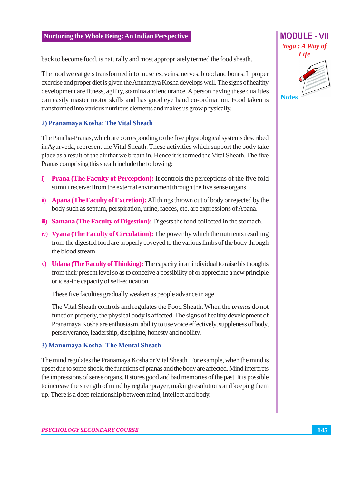back to become food, is naturally and most appropriately termed the food sheath.

The food we eat gets transformed into muscles, veins, nerves, blood and bones. If proper exercise and proper diet is given the Annamaya Kosha develops well. The signs of healthy development are fitness, agility, stamina and endurance. A person having these qualities can easily master motor skills and has good eve hand co-ordination. Food taken is transformed into various nutritous elements and makes us grow physically.

### 2) Pranamaya Kosha: The Vital Sheath

The Pancha-Pranas, which are corresponding to the five physiological systems described in Ayurveda, represent the Vital Sheath. These activities which support the body take place as a result of the air that we breath in. Hence it is termed the Vital Sheath. The five Pranas comprising this sheath include the following:

- **Prana (The Faculty of Perception):** It controls the perceptions of the five fold  $\ddot{\mathbf{i}}$ stimuli received from the external environment through the five sense organs.
- ii) Apana (The Faculty of Excretion): All things thrown out of body or rejected by the body such as septum, perspiration, urine, faeces, etc. are expressions of Apana.
- iii) Samana (The Faculty of Digestion): Digests the food collected in the stomach.
- iv) Vyana (The Faculty of Circulation): The power by which the nutrients resulting from the digested food are properly coveyed to the various limbs of the body through the blood stream.
- v) Udana (The Faculty of Thinking): The capacity in an individual to raise his thoughts from their present level so as to conceive a possibility of or appreciate a new principle or idea-the capacity of self-education.

These five faculties gradually weaken as people advance in age.

The Vital Sheath controls and regulates the Food Sheath. When the *pranas* do not function properly, the physical body is affected. The signs of healthy development of Pranamaya Kosha are enthusiasm, ability to use voice effectively, suppleness of body, perserverance, leadership, discipline, honesty and nobility.

### 3) Manomaya Kosha: The Mental Sheath

The mind regulates the Pranamaya Kosha or Vital Sheath. For example, when the mind is upset due to some shock, the functions of pranas and the body are affected. Mind interprets the impressions of sense organs. It stores good and bad memories of the past. It is possible to increase the strength of mind by regular prayer, making resolutions and keeping them up. There is a deep relationship between mind, intellect and body.

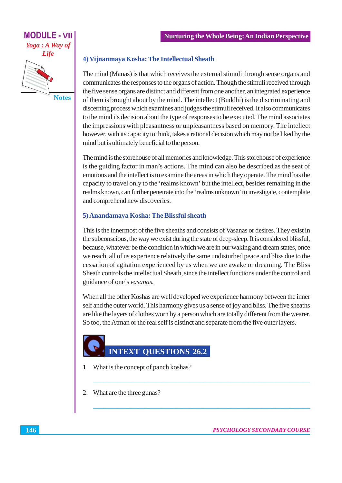# **MODULE - VII** Yoga: A Way of **Life Notes**

## 4) Vijnanmaya Kosha: The Intellectual Sheath

The mind (Manas) is that which receives the external stimuli through sense organs and communicates the responses to the organs of action. Though the stimuli received through the five sense organs are distinct and different from one another, an integrated experience of them is brought about by the mind. The intellect (Buddhi) is the discriminating and discerning process which examines and judges the stimuli received. It also communicates to the mind its decision about the type of responses to be executed. The mind associates the impressions with pleasantness or unpleasantness based on memory. The intellect however, with its capacity to think, takes a rational decision which may not be liked by the mind but is ultimately beneficial to the person.

The mind is the storehouse of all memories and knowledge. This storehouse of experience is the guiding factor in man's actions. The mind can also be described as the seat of emotions and the intellect is to examine the areas in which they operate. The mind has the capacity to travel only to the 'realms known' but the intellect, besides remaining in the realms known, can further penetrate into the 'realms unknown' to investigate, contemplate and comprehend new discoveries.

## 5) Anandamaya Kosha: The Blissful sheath

This is the innermost of the five sheaths and consists of Vasanas or desires. They exist in the subconscious, the way we exist during the state of deep-sleep. It is considered blissful, because, whatever be the condition in which we are in our waking and dream states, once we reach, all of us experience relatively the same undisturbed peace and bliss due to the cessation of agitation experienced by us when we are awake or dreaming. The Bliss Sheath controls the intellectual Sheath, since the intellect functions under the control and guidance of one's vasanas.

When all the other Koshas are well developed we experience harmony between the inner self and the outer world. This harmony gives us a sense of joy and bliss. The five sheaths are like the layers of clothes worn by a person which are totally different from the wearer. So too, the Atman or the real self is distinct and separate from the five outer layers.

## **INTEXT OUESTIONS 26.2**

- 1. What is the concept of panch koshas?
- 2. What are the three gunas?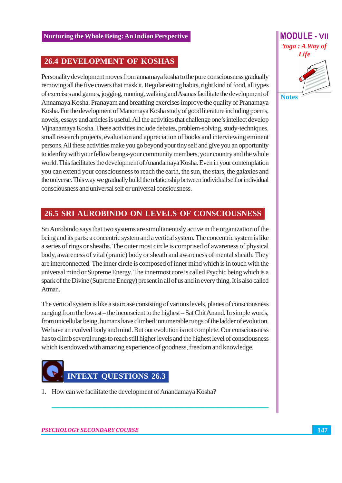## **26.4 DEVELOPMENT OF KOSHAS**

Personality development moves from annamaya kosha to the pure consciousness gradually removing all the five covers that mask it. Regular eating habits, right kind of food, all types of exercises and games, jogging, running, walking and Asanas facilitate the development of Annamaya Kosha. Pranayam and breathing exercises improve the quality of Pranamaya Kosha. For the development of Manomaya Kosha study of good literature including poems, novels, essays and articles is useful. All the activities that challenge one's intellect develop Vijnanamaya Kosha. These activities include debates, problem-solving, study-techniques, small research projects, evaluation and appreciation of books and interviewing eminent persons. All these activities make you go beyond your tiny self and give you an opportunity to idenfity with your fellow beings-your community members, your country and the whole world. This facilitates the development of Anandamaya Kosha. Even in your contemplation you can extend your consciousness to reach the earth, the sun, the stars, the galaxies and the universe. This way we gradually build the relationship between individual self or individual consciousness and universal self or universal consiousness.

## 26.5 SRI AUROBINDO ON LEVELS OF CONSCIOUSNESS

Sri Aurobindo says that two systems are simultaneously active in the organization of the being and its parts: a concentric system and a vertical system. The concentric system is like a series of rings or sheaths. The outer most circle is comprised of awareness of physical body, awareness of vital (pranic) body or sheath and awareness of mental sheath. They are interconnected. The inner circle is composed of inner mind which is in touch with the universal mind or Supreme Energy. The innermost core is called Psychic being which is a spark of the Divine (Supreme Energy) present in all of us and in every thing. It is also called Atman.

The vertical system is like a staircase consisting of various levels, planes of consciousness ranging from the lowest – the inconscient to the highest – Sat Chit Anand. In simple words, from unicellular being, humans have climbed innumerable rungs of the ladder of evolution. We have an evolved body and mind. But our evolution is not complete. Our consciousness has to climb several rungs to reach still higher levels and the highest level of consciousness which is endowed with amazing experience of goodness, freedom and knowledge.



1. How can we facilitate the development of Anandamaya Kosha?

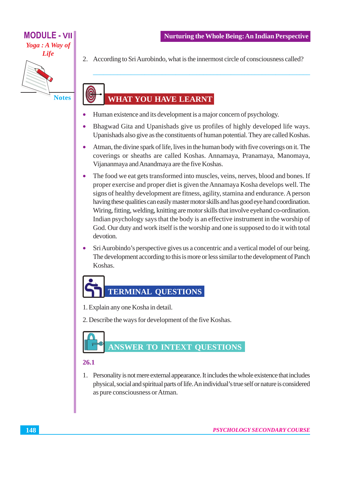

2. According to Sri Aurobindo, what is the innermost circle of consciousness called?

## **WHAT YOU HAVE LEARNT**

- Human existence and its development is a major concern of psychology.
- Bhagwad Gita and Upanishads give us profiles of highly developed life ways. Upanishads also give as the constituents of human potential. They are called Koshas.
- Atman, the divine spark of life, lives in the human body with five coverings on it. The coverings or sheaths are called Koshas. Annamaya, Pranamaya, Manomaya, Vijananmaya and Anandmaya are the five Koshas.
- $\bullet$ The food we eat gets transformed into muscles, veins, nerves, blood and bones. If proper exercise and proper diet is given the Annamaya Kosha develops well. The signs of healthy development are fitness, agility, stamina and endurance. A person having these qualities can easily master motor skills and has good eye hand coordination. Wiring, fitting, welding, knitting are motor skills that involve eyehand co-ordination. Indian psychology says that the body is an effective instrument in the worship of God. Our duty and work itself is the worship and one is supposed to do it with total devotion.
- Sri Aurobindo's perspective gives us a concentric and a vertical model of our being.  $\bullet$ The development according to this is more or less similar to the development of Panch Koshas.

## **TERMINAL OUESTIONS**

- 1. Explain any one Kosha in detail.
- 2. Describe the ways for development of the five Koshas.

## **ANSWER TO INTEXT QUESTIONS**

### $26.1$

1. Personality is not mere external appearance. It includes the whole existence that includes physical, social and spiritual parts of life. An individual's true self or nature is considered as pure consciousness or Atman.